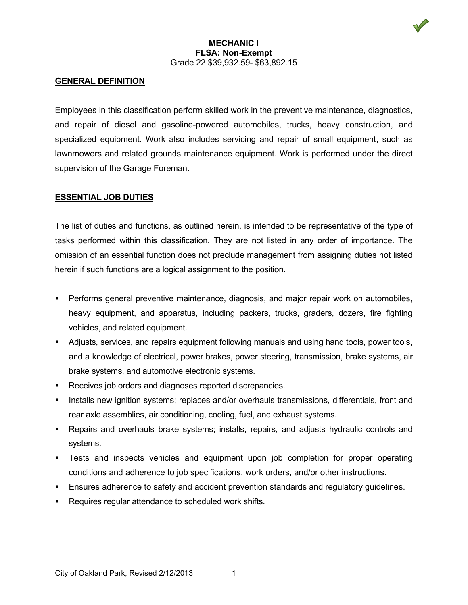

### **MECHANIC I FLSA: Non-Exempt** Grade 22 \$39,932.59- \$63,892.15

# **GENERAL DEFINITION**

Employees in this classification perform skilled work in the preventive maintenance, diagnostics, and repair of diesel and gasoline-powered automobiles, trucks, heavy construction, and specialized equipment. Work also includes servicing and repair of small equipment, such as lawnmowers and related grounds maintenance equipment. Work is performed under the direct supervision of the Garage Foreman.

# **ESSENTIAL JOB DUTIES**

The list of duties and functions, as outlined herein, is intended to be representative of the type of tasks performed within this classification. They are not listed in any order of importance. The omission of an essential function does not preclude management from assigning duties not listed herein if such functions are a logical assignment to the position.

- **Performs general preventive maintenance, diagnosis, and major repair work on automobiles,** heavy equipment, and apparatus, including packers, trucks, graders, dozers, fire fighting vehicles, and related equipment.
- Adjusts, services, and repairs equipment following manuals and using hand tools, power tools, and a knowledge of electrical, power brakes, power steering, transmission, brake systems, air brake systems, and automotive electronic systems.
- Receives job orders and diagnoses reported discrepancies.
- Installs new ignition systems; replaces and/or overhauls transmissions, differentials, front and rear axle assemblies, air conditioning, cooling, fuel, and exhaust systems.
- Repairs and overhauls brake systems; installs, repairs, and adjusts hydraulic controls and systems.
- Tests and inspects vehicles and equipment upon job completion for proper operating conditions and adherence to job specifications, work orders, and/or other instructions.
- **Ensures adherence to safety and accident prevention standards and regulatory guidelines.**
- Requires regular attendance to scheduled work shifts.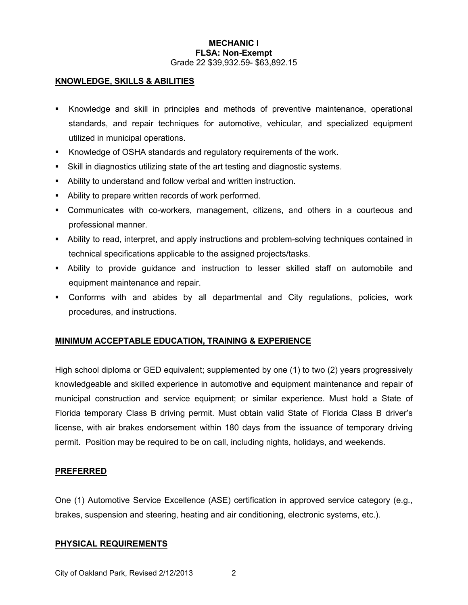### **MECHANIC I FLSA: Non-Exempt** Grade 22 \$39,932.59- \$63,892.15

## **KNOWLEDGE, SKILLS & ABILITIES**

- Knowledge and skill in principles and methods of preventive maintenance, operational standards, and repair techniques for automotive, vehicular, and specialized equipment utilized in municipal operations.
- Knowledge of OSHA standards and regulatory requirements of the work.
- Skill in diagnostics utilizing state of the art testing and diagnostic systems.
- Ability to understand and follow verbal and written instruction.
- Ability to prepare written records of work performed.
- Communicates with co-workers, management, citizens, and others in a courteous and professional manner.
- Ability to read, interpret, and apply instructions and problem-solving techniques contained in technical specifications applicable to the assigned projects/tasks.
- Ability to provide guidance and instruction to lesser skilled staff on automobile and equipment maintenance and repair.
- Conforms with and abides by all departmental and City regulations, policies, work procedures, and instructions.

### **MINIMUM ACCEPTABLE EDUCATION, TRAINING & EXPERIENCE**

High school diploma or GED equivalent; supplemented by one (1) to two (2) years progressively knowledgeable and skilled experience in automotive and equipment maintenance and repair of municipal construction and service equipment; or similar experience. Must hold a State of Florida temporary Class B driving permit. Must obtain valid State of Florida Class B driver's license, with air brakes endorsement within 180 days from the issuance of temporary driving permit. Position may be required to be on call, including nights, holidays, and weekends.

### **PREFERRED**

One (1) Automotive Service Excellence (ASE) certification in approved service category (e.g., brakes, suspension and steering, heating and air conditioning, electronic systems, etc.).

### **PHYSICAL REQUIREMENTS**